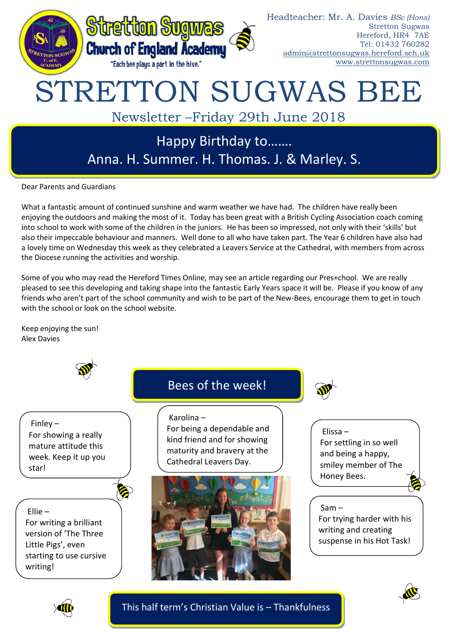

Newsletter –Friday 29th June 2018

## Happy Birthday to……. Anna. H. Summer. H. Thomas. J. & Marley. S.

Dear Parents and Guardians

What a fantastic amount of continued sunshine and warm weather we have had. The children have really been enjoying the outdoors and making the most of it. Today has been great with a British Cycling Association coach coming into school to work with some of the children in the juniors. He has been so impressed, not only with their 'skills' but also their impeccable behaviour and manners. Well done to all who have taken part. The Year 6 children have also had a lovely time on Wednesday this week as they celebrated a Leavers Service at the Cathedral, with members from across the Diocese running the activities and worship.

Some of you who may read the Hereford Times Online, may see an article regarding our Pres+chool. We are really pleased to see this developing and taking shape into the fantastic Early Years space it will be. Please if you know of any friends who aren't part of the school community and wish to be part of the New-Bees, encourage them to get in touch with the school or look on the school website.

Keep enjoying the sun! Alex Davies



This half term's Christian Value is – Thankfulness